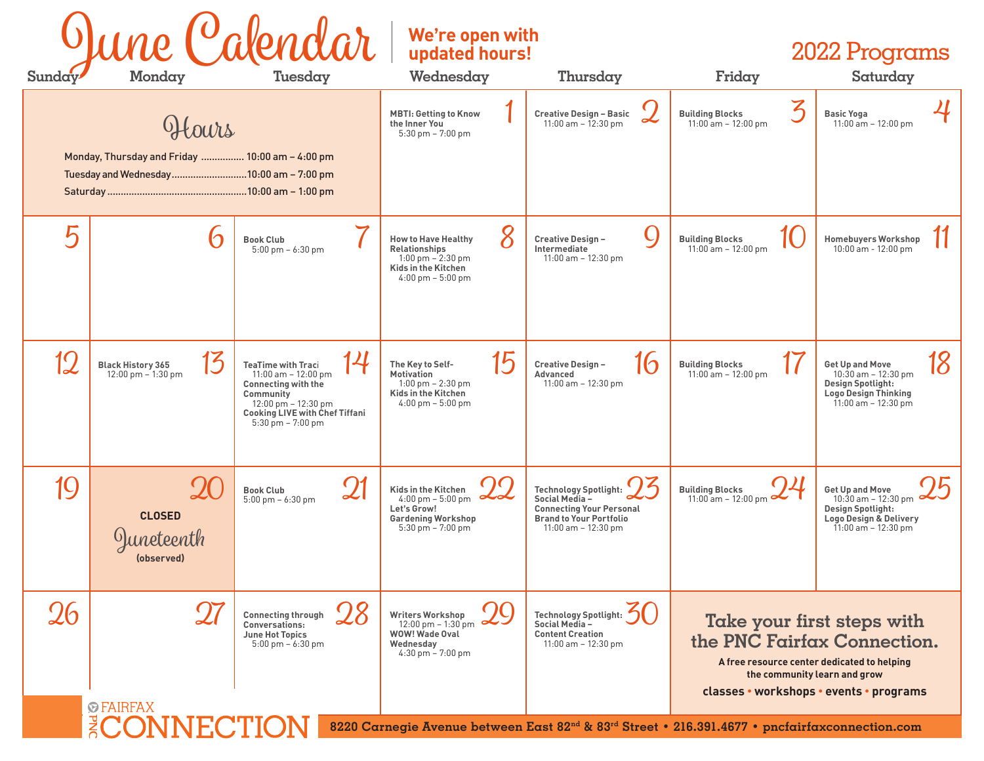| June (Calendar)<br>Monday<br>Tuesday<br>Sunday |                                                                                                     |                                                                                                                                                                                                         | We're open with<br>updated hours!<br>Wednesday<br>Thursday                                                                                     |                                                                                                                                              | 2022 Programs<br>Saturday<br>Friday                                                                                                                                                 |                                                                                                                                       |
|------------------------------------------------|-----------------------------------------------------------------------------------------------------|---------------------------------------------------------------------------------------------------------------------------------------------------------------------------------------------------------|------------------------------------------------------------------------------------------------------------------------------------------------|----------------------------------------------------------------------------------------------------------------------------------------------|-------------------------------------------------------------------------------------------------------------------------------------------------------------------------------------|---------------------------------------------------------------------------------------------------------------------------------------|
|                                                | Hours<br>Monday, Thursday and Friday  10:00 am - 4:00 pm<br>Tuesday and Wednesday10:00 am - 7:00 pm |                                                                                                                                                                                                         | <b>MBTI: Getting to Know</b><br>the Inner You<br>$5:30$ pm $-7:00$ pm                                                                          | <b>Creative Design - Basic</b><br>11:00 am $-$ 12:30 pm                                                                                      | Z<br><b>Building Blocks</b><br>$11:00$ am $-12:00$ pm                                                                                                                               | <b>Basic Yoga</b><br>$11:00$ am $-12:00$ pm                                                                                           |
| Ҕ                                              |                                                                                                     | <b>Book Club</b><br>$5:00 \text{ pm} - 6:30 \text{ pm}$                                                                                                                                                 | 8<br><b>How to Have Healthy</b><br><b>Relationships</b><br>$1:00$ pm $- 2:30$ pm<br>Kids in the Kitchen<br>$4:00 \text{ pm} - 5:00 \text{ pm}$ | Creative Design-<br>Intermediate<br>11:00 am $-$ 12:30 pm                                                                                    | <b>Building Blocks</b><br>$11:00$ am $-12:00$ pm                                                                                                                                    | <b>Homebuyers Workshop</b><br>$10:00$ am - $12:00$ pm                                                                                 |
| 12                                             | 14<br><b>Black History 365</b><br>$12:00 \text{ pm} - 1:30 \text{ pm}$                              | <b>TeaTime with Traci</b><br>11:00 am $- 12:00$ pm<br><b>Connecting with the</b><br>Community<br>$12:00 \text{ pm} - 12:30 \text{ pm}$<br><b>Cooking LIVE with Chef Tiffani</b><br>$5:30$ pm $-7:00$ pm | 15<br>The Key to Self-<br>Motivation<br>$1:00$ pm $- 2:30$ pm<br>Kids in the Kitchen<br>$4:00 \text{ pm} - 5:00 \text{ pm}$                    | 16<br>Creative Design-<br>Advanced<br>$11:00$ am $-12:30$ pm                                                                                 | <b>Building Blocks</b><br>$11:00$ am $-12:00$ pm                                                                                                                                    | <b>Get Up and Move</b><br>$10:30$ am $-12:30$ pm<br><b>Design Spotlight:</b><br><b>Logo Design Thinking</b><br>$11:00$ am $-12:30$ pm |
| 19                                             | <b>CLOSED</b><br>uneteenth<br>(observed)                                                            | 21<br><b>Book Club</b><br>$5:00 \text{ pm} - 6:30 \text{ pm}$                                                                                                                                           | Kids in the Kitchen<br>$4:00 \text{ pm} - 5:00 \text{ pm}$<br>Let's Grow!<br><b>Gardening Workshop</b><br>$5:30$ pm $-7:00$ pm                 | <b>Technology Spotlight:</b><br>Social Media-<br><b>Connecting Your Personal</b><br><b>Brand to Your Portfolio</b><br>$11:00$ am $-12:30$ pm | <b>Building Blocks</b><br>$11:00$ am $-12:00$ pm                                                                                                                                    | <b>Get Up and Move</b><br>$10:30$ am $-12:30$ pm<br><b>Design Spotlight:</b><br>Logo Design & Delivery<br>$11:00$ am $-12:30$ pm      |
| 26                                             | <b><i><u>©FAIRFAX</u></i></b>                                                                       | <i>28</i><br><b>Connecting through</b><br>Conversations:<br><b>June Hot Topics</b><br>5:00 pm - 6:30 pm                                                                                                 | <b>Writers Workshop</b><br>$12:00 \text{ pm} - 1:30 \text{ pm}$<br>WOW! Wade Oval<br>Wednesday<br>4:30 pm - 7:00 pm                            | <b>Technology Spotlight:</b><br>Social Media-<br><b>Content Creation</b><br>$11:00$ am $-12:30$ pm                                           | Take your first steps with<br>the PNC Fairfax Connection.<br>A free resource center dedicated to helping<br>the community learn and grow<br>classes • workshops • events • programs |                                                                                                                                       |
|                                                | $\sqrt{2}$                                                                                          |                                                                                                                                                                                                         |                                                                                                                                                | 8220 Carnegie Avenue between East 82 <sup>nd</sup> & 83 <sup>rd</sup> Street • 216.391.4677 • pncfairfaxconnection.com                       |                                                                                                                                                                                     |                                                                                                                                       |